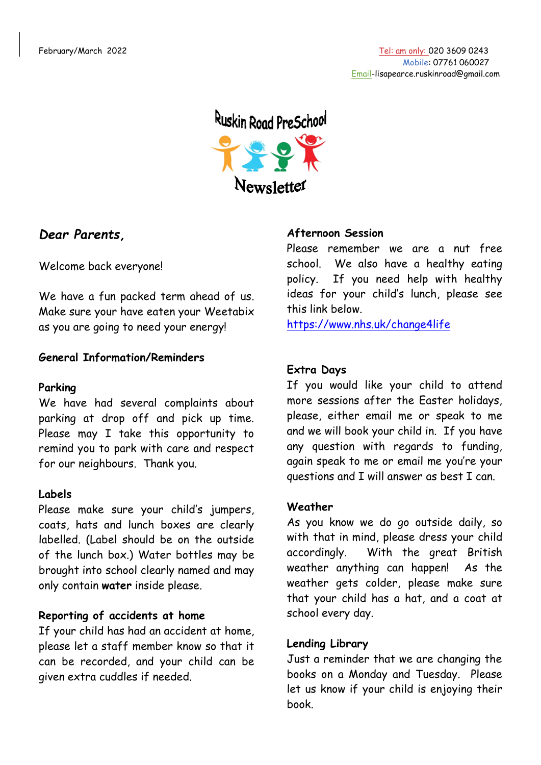

# *Dear Parents,*

Welcome back everyone!

We have a fun packed term ahead of us. Make sure your have eaten your Weetabix as you are going to need your energy!

## **General Information/Reminders**

### **Parking**

We have had several complaints about parking at drop off and pick up time. Please may I take this opportunity to remind you to park with care and respect for our neighbours. Thank you.

# **Labels**

Please make sure your child's jumpers, coats, hats and lunch boxes are clearly labelled. (Label should be on the outside of the lunch box.) Water bottles may be brought into school clearly named and may only contain **water** inside please.

### **Reporting of accidents at home**

If your child has had an accident at home, please let a staff member know so that it can be recorded, and your child can be given extra cuddles if needed.

## **Afternoon Session**

Please remember we are a nut free school. We also have a healthy eating policy. If you need help with healthy ideas for your child's lunch, please see this link below.

<https://www.nhs.uk/change4life>

## **Extra Days**

If you would like your child to attend more sessions after the Easter holidays, please, either email me or speak to me and we will book your child in. If you have any question with regards to funding, again speak to me or email me you're your questions and I will answer as best I can.

### **Weather**

As you know we do go outside daily, so with that in mind, please dress your child accordingly. With the great British weather anything can happen! As the weather gets colder, please make sure that your child has a hat, and a coat at school every day.

### **Lending Library**

Just a reminder that we are changing the books on a Monday and Tuesday. Please let us know if your child is enjoying their book.